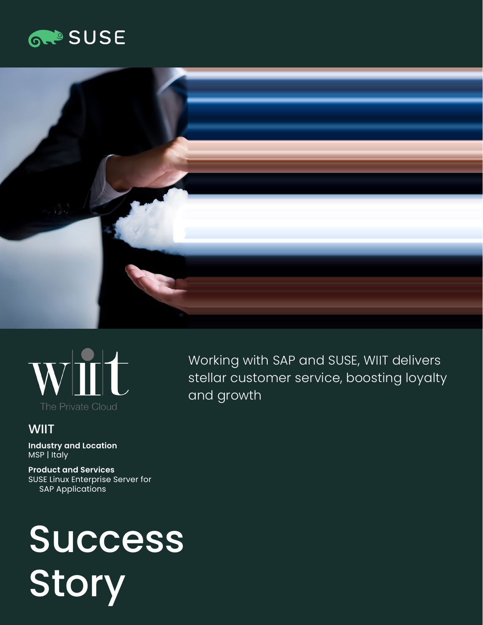# **GROSUSE**





# **WIIT**

**Industry and Location**  MSP | Italy

**Product and Services**  SUSE Linux Enterprise Server for SAP Applications

# Success **Story**

Working with SAP and SUSE, WIIT delivers stellar customer service, boosting loyalty and growth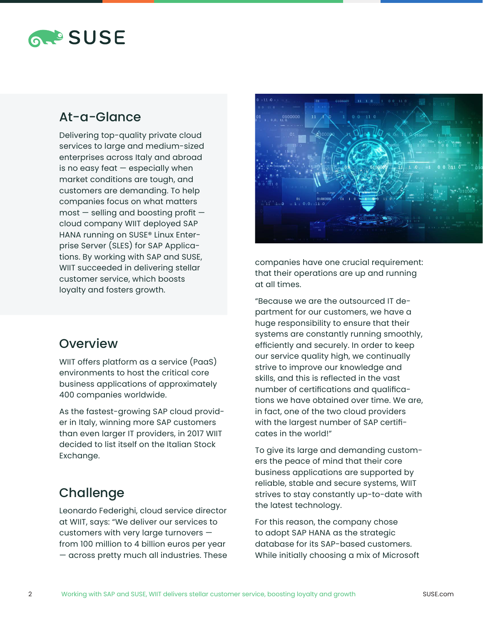# **RAPSUSE**

# At-a-Glance

Delivering top-quality private cloud services to large and medium-sized enterprises across Italy and abroad is no easy feat  $-$  especially when market conditions are tough, and customers are demanding. To help companies focus on what matters  $most$  – selling and boosting profit – cloud company WIIT deployed SAP HANA running on SUSE® Linux Enterprise Server (SLES) for SAP Applications. By working with SAP and SUSE, WIIT succeeded in delivering stellar customer service, which boosts loyalty and fosters growth.

## **Overview**

WIIT offers platform as a service (PaaS) environments to host the critical core business applications of approximately 400 companies worldwide.

As the fastest-growing SAP cloud provider in Italy, winning more SAP customers than even larger IT providers, in 2017 WIIT decided to list itself on the Italian Stock Exchange.

# Challenge

Leonardo Federighi, cloud service director at WIIT, says: "We deliver our services to customers with very large turnovers from 100 million to 4 billion euros per year — across pretty much all industries. These



companies have one crucial requirement: that their operations are up and running at all times.

"Because we are the outsourced IT department for our customers, we have a huge responsibility to ensure that their systems are constantly running smoothly, efficiently and securely. In order to keep our service quality high, we continually strive to improve our knowledge and skills, and this is reflected in the vast number of certifications and qualifications we have obtained over time. We are, in fact, one of the two cloud providers with the largest number of SAP certificates in the world!"

To give its large and demanding customers the peace of mind that their core business applications are supported by reliable, stable and secure systems, WIIT strives to stay constantly up-to-date with the latest technology.

For this reason, the company chose to adopt SAP HANA as the strategic database for its SAP-based customers. While initially choosing a mix of Microsoft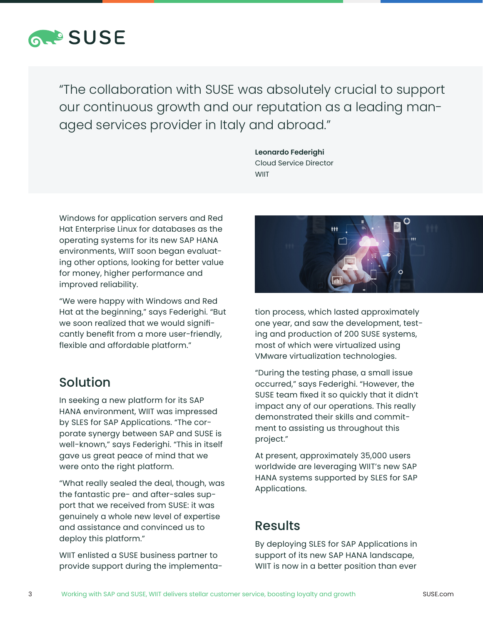

"The collaboration with SUSE was absolutely crucial to support our continuous growth and our reputation as a leading managed services provider in Italy and abroad."

> **Leonardo Federighi**  Cloud Service Director **WIIT**

Windows for application servers and Red Hat Enterprise Linux for databases as the operating systems for its new SAP HANA environments, WIIT soon began evaluating other options, looking for better value for money, higher performance and improved reliability.

"We were happy with Windows and Red Hat at the beginning," says Federighi. "But we soon realized that we would significantly benefit from a more user-friendly, flexible and affordable platform."

## Solution

In seeking a new platform for its SAP HANA environment, WIIT was impressed by SLES for SAP Applications. "The corporate synergy between SAP and SUSE is well-known," says Federighi. "This in itself gave us great peace of mind that we were onto the right platform.

"What really sealed the deal, though, was the fantastic pre- and after-sales support that we received from SUSE: it was genuinely a whole new level of expertise and assistance and convinced us to deploy this platform."

WIIT enlisted a SUSE business partner to provide support during the implementa-



tion process, which lasted approximately one year, and saw the development, testing and production of 200 SUSE systems, most of which were virtualized using VMware virtualization technologies.

"During the testing phase, a small issue occurred," says Federighi. "However, the SUSE team fixed it so quickly that it didn't impact any of our operations. This really demonstrated their skills and commitment to assisting us throughout this project."

At present, approximately 35,000 users worldwide are leveraging WIIT's new SAP HANA systems supported by SLES for SAP Applications.

## **Results**

By deploying SLES for SAP Applications in support of its new SAP HANA landscape, WIIT is now in a better position than ever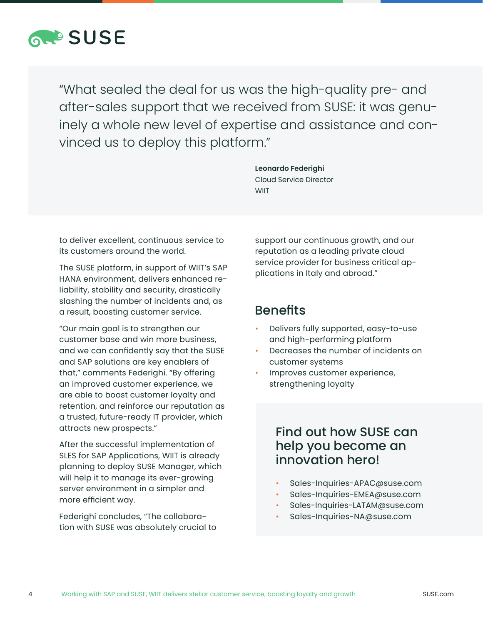

"What sealed the deal for us was the high-quality pre- and after-sales support that we received from SUSE: it was genuinely a whole new level of expertise and assistance and convinced us to deploy this platform."

> **Leonardo Federighi**  Cloud Service Director **WIIT**

to deliver excellent, continuous service to its customers around the world.

The SUSE platform, in support of WIIT's SAP HANA environment, delivers enhanced reliability, stability and security, drastically slashing the number of incidents and, as a result, boosting customer service.

"Our main goal is to strengthen our customer base and win more business, and we can confidently say that the SUSE and SAP solutions are key enablers of that," comments Federighi. "By offering an improved customer experience, we are able to boost customer loyalty and retention, and reinforce our reputation as a trusted, future-ready IT provider, which attracts new prospects."

After the successful implementation of SLES for SAP Applications, WIIT is already planning to deploy SUSE Manager, which will help it to manage its ever-growing server environment in a simpler and more efficient way.

Federighi concludes, "The collaboration with SUSE was absolutely crucial to support our continuous growth, and our reputation as a leading private cloud service provider for business critical applications in Italy and abroad."

#### **Benefits**

- Delivers fully supported, easy-to-use and high-performing platform
- Decreases the number of incidents on customer systems
- Improves customer experience, strengthening loyalty

## Find out how SUSE can help you become an innovation hero!

- Sales-Inquiries-APAC@suse.com
- Sales-Inquiries-EMEA@suse.com
- Sales-Inquiries-LATAM@suse.com
- Sales-Inquiries-NA@suse.com